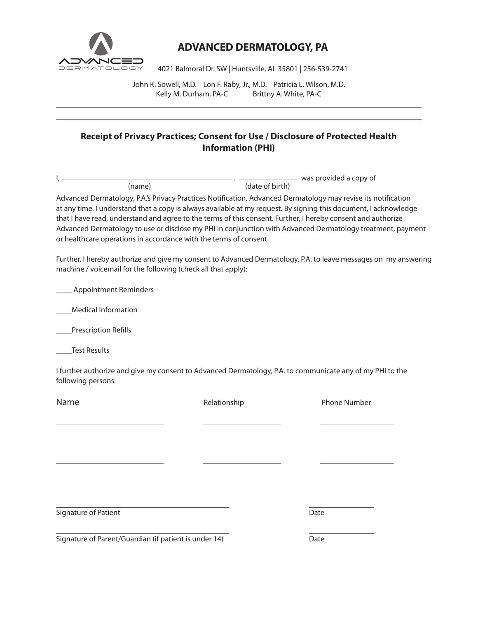

# **ADVANCED DERMATOLOGY, PA**

4021 Balmoral Dr. SW | Huntsville, AL 35801 | 256-539-2741

John K. Sowell, M.D. Lon F. Raby, Jr., M.D. Patricia L. Wilson, M.D. Kelly M. Durham, PA-C Brittny A. White, PA-C

## **Receipt of Privacy Practices; Consent for Use / Disclosure of Protected Health Information (PHI)**

|        |                 | was provided a copy of |
|--------|-----------------|------------------------|
| (name) | (date of birth) |                        |

Advanced Dermatology, P.A.'s Privacy Practices Notification. Advanced Dermatology may revise its notification at any time. I understand that a copy is always available at my request. By signing this document, I acknowledge that I have read, understand and agree to the terms of this consent. Further, I hereby consent and authorize Advanced Dermatology to use or disclose my PHI in conjunction with Advanced Dermatology treatment, payment or healthcare operations in accordance with the terms of consent.

Further, I hereby authorize and give my consent to Advanced Dermatology, P.A. to leave messages on my answering machine / voicemail for the following (check all that apply):

\_\_\_\_ Appointment Reminders

\_\_\_\_Medical Information

\_\_\_\_Prescription Refills

\_\_\_\_Test Results

I further authorize and give my consent to Advanced Dermatology, P.A. to communicate any of my PHI to the following persons:

| Name                                                  | Relationship | <b>Phone Number</b> |
|-------------------------------------------------------|--------------|---------------------|
|                                                       |              |                     |
|                                                       |              |                     |
|                                                       |              |                     |
|                                                       |              |                     |
| Signature of Patient                                  |              | Date                |
| Signature of Parent/Guardian (if patient is under 14) |              | Date                |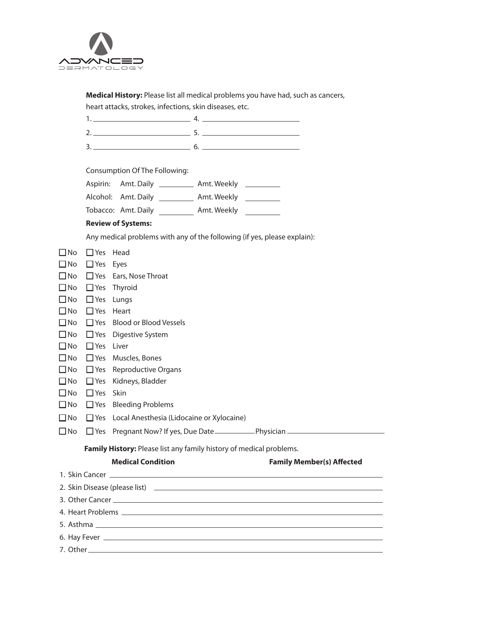

**Medical History:** Please list all medical problems you have had, such as cancers, heart attacks, strokes, infections, skin diseases, etc.

|                              |                                                           | $3.$ $6.$                                                                                                                                                                                                                     |  |  |
|------------------------------|-----------------------------------------------------------|-------------------------------------------------------------------------------------------------------------------------------------------------------------------------------------------------------------------------------|--|--|
|                              |                                                           |                                                                                                                                                                                                                               |  |  |
|                              | Consumption Of The Following:                             |                                                                                                                                                                                                                               |  |  |
|                              | Aspirin:                                                  | Amt. Daily _____________ Amt. Weekly __________                                                                                                                                                                               |  |  |
|                              | Alcohol: Amt. Daily _____________ Amt. Weekly ___________ |                                                                                                                                                                                                                               |  |  |
|                              | Tobacco: Amt. Daily _____________ Amt. Weekly __________  |                                                                                                                                                                                                                               |  |  |
|                              | <b>Review of Systems:</b>                                 |                                                                                                                                                                                                                               |  |  |
|                              |                                                           | Any medical problems with any of the following (if yes, please explain):                                                                                                                                                      |  |  |
| $\square$ No                 | $\Box$ Yes Head                                           |                                                                                                                                                                                                                               |  |  |
| $\square$ No                 | □ Yes Eyes                                                |                                                                                                                                                                                                                               |  |  |
| $\square$ No                 | □ Yes Ears, Nose Throat                                   |                                                                                                                                                                                                                               |  |  |
| $\square$ No                 | $\Box$ Yes Thyroid                                        |                                                                                                                                                                                                                               |  |  |
| $\square$ No                 | $\Box$ Yes Lungs                                          |                                                                                                                                                                                                                               |  |  |
| $\square$ No                 | $\Box$ Yes Heart                                          |                                                                                                                                                                                                                               |  |  |
| $\square$ No                 | $\Box$ Yes Blood or Blood Vessels                         |                                                                                                                                                                                                                               |  |  |
| $\square$ No                 | $\Box$ Yes Digestive System                               |                                                                                                                                                                                                                               |  |  |
| $\square$ No                 | □ Yes Liver                                               |                                                                                                                                                                                                                               |  |  |
| $\square$ No                 | □ Yes Muscles, Bones                                      |                                                                                                                                                                                                                               |  |  |
| $\square$ No<br>$\square$ No | $\Box$ Yes Reproductive Organs<br>Yes Kidneys, Bladder    |                                                                                                                                                                                                                               |  |  |
| $\square$ No                 | □ Yes Skin                                                |                                                                                                                                                                                                                               |  |  |
| $\square$ No                 | $\Box$ Yes Bleeding Problems                              |                                                                                                                                                                                                                               |  |  |
| $\square$ No                 | $\Box$ Yes Local Anesthesia (Lidocaine or Xylocaine)      |                                                                                                                                                                                                                               |  |  |
| $\square$ No                 |                                                           | □ Yes Pregnant Now? If yes, Due Date Physician Physician Physician                                                                                                                                                            |  |  |
|                              |                                                           | Family History: Please list any family history of medical problems.                                                                                                                                                           |  |  |
|                              | <b>Medical Condition</b>                                  | <b>Family Member(s) Affected</b>                                                                                                                                                                                              |  |  |
|                              |                                                           | 1. Skin Cancer January 2014 - Andrew March 2014 - Andrew March 2014 - Andrew March 2014                                                                                                                                       |  |  |
|                              |                                                           | 2. Skin Disease (please list) 2. Skin Disease (please list)                                                                                                                                                                   |  |  |
|                              |                                                           | 3. Other Cancer Law and Contract Contract Contract Contract Contract Contract Contract Contract Contract Contract Contract Contract Contract Contract Contract Contract Contract Contract Contract Contract Contract Contract |  |  |
|                              |                                                           |                                                                                                                                                                                                                               |  |  |
|                              |                                                           |                                                                                                                                                                                                                               |  |  |
|                              |                                                           |                                                                                                                                                                                                                               |  |  |
|                              |                                                           |                                                                                                                                                                                                                               |  |  |
|                              |                                                           |                                                                                                                                                                                                                               |  |  |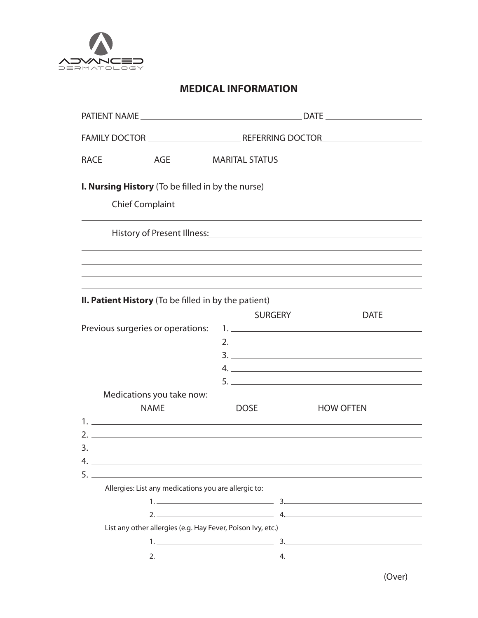

# **MEDICAL INFORMATION**

|    | I. Nursing History (To be filled in by the nurse)                                                                                   |                |                                                                                                 |  |
|----|-------------------------------------------------------------------------------------------------------------------------------------|----------------|-------------------------------------------------------------------------------------------------|--|
|    |                                                                                                                                     |                |                                                                                                 |  |
|    |                                                                                                                                     |                | History of Present Illness: North Control of Present Illness: North Control of Present Illness: |  |
|    |                                                                                                                                     |                |                                                                                                 |  |
|    | II. Patient History (To be filled in by the patient)                                                                                | <b>SURGERY</b> | <b>DATE</b>                                                                                     |  |
|    | Previous surgeries or operations:                                                                                                   |                | $2.$ $\overline{\phantom{a}}$                                                                   |  |
|    | Medications you take now:                                                                                                           |                |                                                                                                 |  |
| 4. | <b>NAME</b><br><u> 1980 - Johann Stein, marwolaethau a bhann an t-Amhair an t-Amhair an t-Amhair an t-Amhair an t-Amhair an t-A</u> | <b>DOSE</b>    | <b>HOW OFTEN</b><br>$2.$ $\overline{\phantom{a}}$                                               |  |
| 5. | Allergies: List any medications you are allergic to:<br>List any other allergies (e.g. Hay Fever, Poison Ivy, etc.)                 |                |                                                                                                 |  |
|    |                                                                                                                                     |                |                                                                                                 |  |
|    |                                                                                                                                     |                |                                                                                                 |  |

(Over)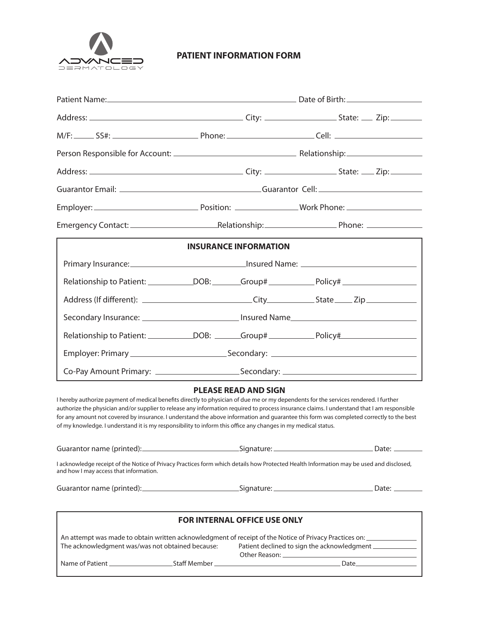

### **PATIENT INFORMATION FORM**

| <b>INSURANCE INFORMATION</b>                                                                        |                                                                                                                 |  |  |  |  |
|-----------------------------------------------------------------------------------------------------|-----------------------------------------------------------------------------------------------------------------|--|--|--|--|
|                                                                                                     | Primary Insurance: 1990 Manual Library Primary Insured Name: 2008 Manual Library Insurance: 2008 Manual Library |  |  |  |  |
| Relationship to Patient: _____________DOB: ________Group# _____________Policy# ____________________ |                                                                                                                 |  |  |  |  |
|                                                                                                     |                                                                                                                 |  |  |  |  |
|                                                                                                     |                                                                                                                 |  |  |  |  |
| Relationship to Patient: ______________DOB: _______Group# _____________Policy# ____________________ |                                                                                                                 |  |  |  |  |
|                                                                                                     |                                                                                                                 |  |  |  |  |
|                                                                                                     |                                                                                                                 |  |  |  |  |

### **PLEASE READ AND SIGN**

I hereby authorize payment of medical benefits directly to physician of due me or my dependents for the services rendered. I further authorize the physician and/or supplier to release any information required to process insurance claims. I understand that I am responsible for any amount not covered by insurance. I understand the above information and guarantee this form was completed correctly to the best of my knowledge. I understand it is my responsibility to inform this office any changes in my medical status.

| Guarantor name (printed): | .Sianature: . | Date <sup>.</sup> |
|---------------------------|---------------|-------------------|
|                           |               |                   |
|                           |               |                   |

I acknowledge receipt of the Notice of Privacy Practices form which details how Protected Health Information may be used and disclosed, and how I may access that information.

Guarantor name (printed): Signature: Date:

| <b>FOR INTERNAL OFFICE USE ONLY</b>              |              |                                                                                                                                                                                                                                                                                                                                                                                               |  |
|--------------------------------------------------|--------------|-----------------------------------------------------------------------------------------------------------------------------------------------------------------------------------------------------------------------------------------------------------------------------------------------------------------------------------------------------------------------------------------------|--|
| The acknowledgment was/was not obtained because: |              | An attempt was made to obtain written acknowledgment of receipt of the Notice of Privacy Practices on:<br>Patient declined to sign the acknowledgment ______<br>Other Reason: The Contract of the Contract of the Contract of the Contract of the Contract of the Contract of the Contract of the Contract of the Contract of the Contract of the Contract of the Contract of the Contract of |  |
| Name of Patient                                  | Staff Member | Date                                                                                                                                                                                                                                                                                                                                                                                          |  |